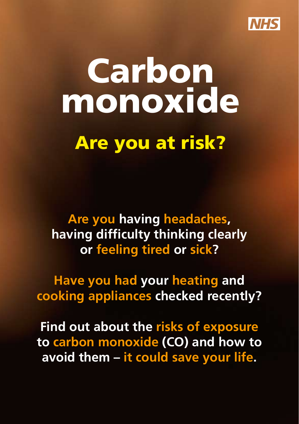

# **Carbon**  monoxide Are you at risk?

**Are you having headaches, having difficulty thinking clearly or feeling tired or sick?** 

**Have you had your heating and cooking appliances checked recently?** 

**Find out about the risks of exposure to carbon monoxide (CO) and how to avoid them – it could save your life.**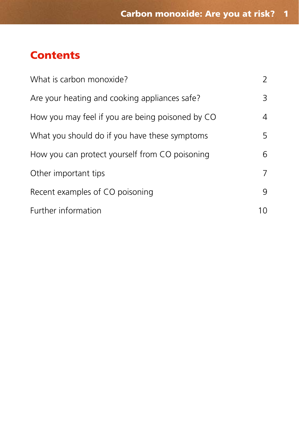## **Contents**

| What is carbon monoxide?                         | 2  |
|--------------------------------------------------|----|
| Are your heating and cooking appliances safe?    | 3  |
| How you may feel if you are being poisoned by CO | 4  |
| What you should do if you have these symptoms    | 5  |
| How you can protect yourself from CO poisoning   | 6  |
| Other important tips                             | 7  |
| Recent examples of CO poisoning                  | 9  |
| Further information                              | 10 |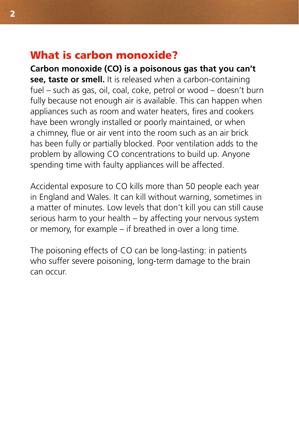#### What is carbon monoxide?

**Carbon monoxide (CO) is a poisonous gas that you can't see, taste or smell.** It is released when a carbon-containing fuel – such as gas, oil, coal, coke, petrol or wood – doesn't burn fully because not enough air is available. This can happen when appliances such as room and water heaters, fires and cookers have been wrongly installed or poorly maintained, or when a chimney, flue or air vent into the room such as an air brick has been fully or partially blocked. Poor ventilation adds to the problem by allowing CO concentrations to build up. Anyone spending time with faulty appliances will be affected.

Accidental exposure to CO kills more than 50 people each year in England and Wales. It can kill without warning, sometimes in a matter of minutes. Low levels that don't kill you can still cause serious harm to your health – by affecting your nervous system or memory, for example – if breathed in over a long time.

The poisoning effects of CO can be long-lasting: in patients who suffer severe poisoning, long-term damage to the brain can occur.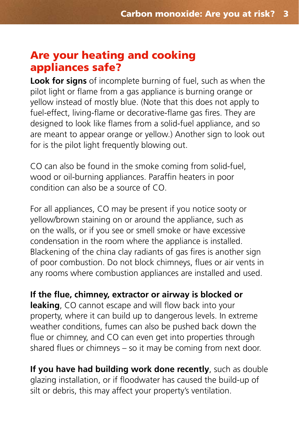## Are your heating and cooking appliances safe?

**Look for signs** of incomplete burning of fuel, such as when the pilot light or flame from a gas appliance is burning orange or yellow instead of mostly blue. (Note that this does not apply to fuel-effect, living-flame or decorative-flame gas fires. They are designed to look like flames from a solid-fuel appliance, and so are meant to appear orange or yellow.) Another sign to look out for is the pilot light frequently blowing out.

CO can also be found in the smoke coming from solid-fuel, wood or oil-burning appliances. Paraffin heaters in poor condition can also be a source of CO.

For all appliances, CO may be present if you notice sooty or yellow/brown staining on or around the appliance, such as on the walls, or if you see or smell smoke or have excessive condensation in the room where the appliance is installed. Blackening of the china clay radiants of gas fires is another sign of poor combustion. Do not block chimneys, flues or air vents in any rooms where combustion appliances are installed and used.

**If the flue, chimney, extractor or airway is blocked or leaking**, CO cannot escape and will flow back into your property, where it can build up to dangerous levels. In extreme weather conditions, fumes can also be pushed back down the flue or chimney, and CO can even get into properties through shared flues or chimneys – so it may be coming from next door.

**If you have had building work done recently**, such as double glazing installation, or if floodwater has caused the build-up of silt or debris, this may affect your property's ventilation.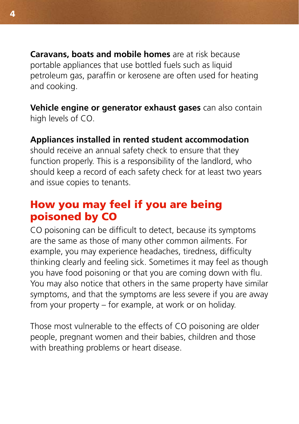**Caravans, boats and mobile homes** are at risk because portable appliances that use bottled fuels such as liquid petroleum gas, paraffin or kerosene are often used for heating and cooking.

**Vehicle engine or generator exhaust gases** can also contain high levels of CO.

#### **Appliances installed in rented student accommodation**

should receive an annual safety check to ensure that they function properly. This is a responsibility of the landlord, who should keep a record of each safety check for at least two years and issue copies to tenants.

# How you may feel if you are being poisoned by CO

CO poisoning can be difficult to detect, because its symptoms are the same as those of many other common ailments. For example, you may experience headaches, tiredness, difficulty thinking clearly and feeling sick. Sometimes it may feel as though you have food poisoning or that you are coming down with flu. You may also notice that others in the same property have similar symptoms, and that the symptoms are less severe if you are away from your property – for example, at work or on holiday.

Those most vulnerable to the effects of CO poisoning are older people, pregnant women and their babies, children and those with breathing problems or heart disease.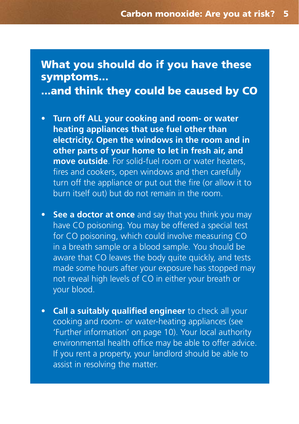## What you should do if you have these symptoms... ...and think they could be caused by CO

- • **Turn off ALL your cooking and room- or water heating appliances that use fuel other than electricity. Open the windows in the room and in other parts of your home to let in fresh air, and move outside**. For solid-fuel room or water heaters, fires and cookers, open windows and then carefully turn off the appliance or put out the fire (or allow it to burn itself out) but do not remain in the room.
- **See a doctor at once** and say that you think you may have CO poisoning. You may be offered a special test for CO poisoning, which could involve measuring CO in a breath sample or a blood sample. You should be aware that CO leaves the body quite quickly, and tests made some hours after your exposure has stopped may not reveal high levels of CO in either your breath or your blood.
- **Call a suitably qualified engineer** to check all your cooking and room- or water-heating appliances (see 'Further information' on page 10). Your local authority environmental health office may be able to offer advice. If you rent a property, your landlord should be able to assist in resolving the matter.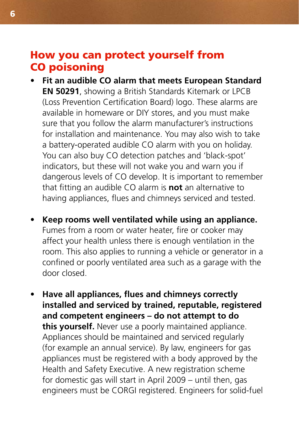#### How you can protect yourself from CO poisoning

- • **Fit an audible CO alarm that meets European Standard EN 50291**, showing a British Standards Kitemark or LPCB (Loss Prevention Certification Board) logo. These alarms are available in homeware or DIY stores, and you must make sure that you follow the alarm manufacturer's instructions for installation and maintenance. You may also wish to take a battery-operated audible CO alarm with you on holiday. You can also buy CO detection patches and 'black-spot' indicators, but these will not wake you and warn you if dangerous levels of CO develop. It is important to remember that fitting an audible CO alarm is **not** an alternative to having appliances, flues and chimneys serviced and tested.
- • **Keep rooms well ventilated while using an appliance.**  Fumes from a room or water heater, fire or cooker may affect your health unless there is enough ventilation in the room. This also applies to running a vehicle or generator in a confined or poorly ventilated area such as a garage with the door closed.
- **Have all appliances, flues and chimneys correctly installed and serviced by trained, reputable, registered and competent engineers – do not attempt to do this yourself.** Never use a poorly maintained appliance. Appliances should be maintained and serviced regularly (for example an annual service). By law, engineers for gas appliances must be registered with a body approved by the Health and Safety Executive. A new registration scheme for domestic gas will start in April 2009 – until then, gas engineers must be CORGI registered. Engineers for solid-fuel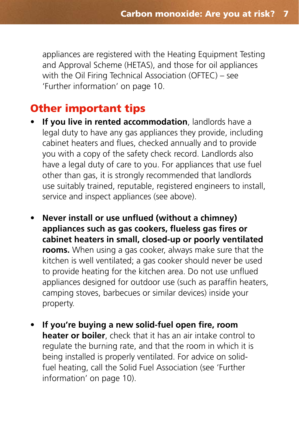appliances are registered with the Heating Equipment Testing and Approval Scheme (HETAS), and those for oil appliances with the Oil Firing Technical Association (OFTEC) – see 'Further information' on page 10.

### Other important tips

- **If you live in rented accommodation**, landlords have a legal duty to have any gas appliances they provide, including cabinet heaters and flues, checked annually and to provide you with a copy of the safety check record. Landlords also have a legal duty of care to you. For appliances that use fuel other than gas, it is strongly recommended that landlords use suitably trained, reputable, registered engineers to install, service and inspect appliances (see above).
- • **Never install or use unflued (without a chimney) appliances such as gas cookers, flueless gas fires or cabinet heaters in small, closed-up or poorly ventilated rooms.** When using a gas cooker, always make sure that the kitchen is well ventilated; a gas cooker should never be used to provide heating for the kitchen area. Do not use unflued appliances designed for outdoor use (such as paraffin heaters, camping stoves, barbecues or similar devices) inside your property.
- If you're buying a new solid-fuel open fire, room **heater or boiler**, check that it has an air intake control to regulate the burning rate, and that the room in which it is being installed is properly ventilated. For advice on solidfuel heating, call the Solid Fuel Association (see 'Further information' on page 10).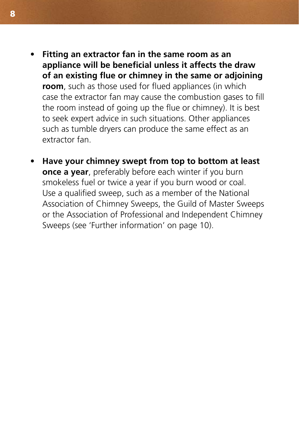- **Fitting an extractor fan in the same room as an appliance will be beneficial unless it affects the draw of an existing flue or chimney in the same or adjoining room**, such as those used for flued appliances (in which case the extractor fan may cause the combustion gases to fill the room instead of going up the flue or chimney). It is best to seek expert advice in such situations. Other appliances such as tumble dryers can produce the same effect as an extractor fan.
- **Have your chimney swept from top to bottom at least once a year**, preferably before each winter if you burn smokeless fuel or twice a year if you burn wood or coal. Use a qualified sweep, such as a member of the National Association of Chimney Sweeps, the Guild of Master Sweeps or the Association of Professional and Independent Chimney Sweeps (see 'Further information' on page 10).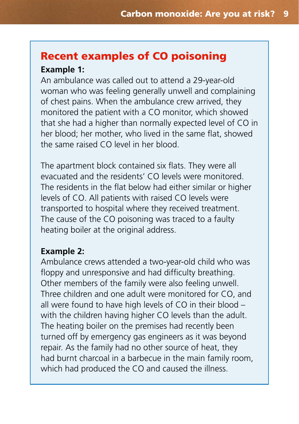# Recent examples of CO poisoning

#### **Example 1:**

An ambulance was called out to attend a 29-year-old woman who was feeling generally unwell and complaining of chest pains. When the ambulance crew arrived, they monitored the patient with a CO monitor, which showed that she had a higher than normally expected level of CO in her blood; her mother, who lived in the same flat, showed the same raised CO level in her blood.

The apartment block contained six flats. They were all evacuated and the residents' CO levels were monitored. The residents in the flat below had either similar or higher levels of CO. All patients with raised CO levels were transported to hospital where they received treatment. The cause of the CO poisoning was traced to a faulty heating boiler at the original address.

#### **Example 2:**

Ambulance crews attended a two-year-old child who was floppy and unresponsive and had difficulty breathing. Other members of the family were also feeling unwell. Three children and one adult were monitored for CO, and all were found to have high levels of CO in their blood – with the children having higher CO levels than the adult. The heating boiler on the premises had recently been turned off by emergency gas engineers as it was beyond repair. As the family had no other source of heat, they had burnt charcoal in a barbecue in the main family room, which had produced the CO and caused the illness.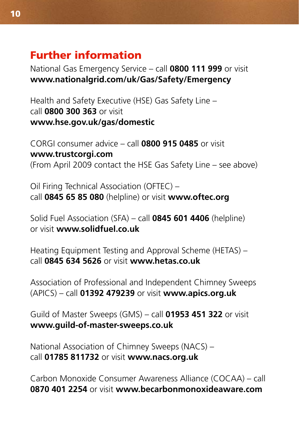# Further information

National Gas Emergency Service – call **0800 111 999** or visit **[www.nationalgrid.com/uk/Gas/Safety/Emergency](http://www.nationalgrid.com/uk/Gas/Safety/Emergency)** 

Health and Safety Executive (HSE) Gas Safety Line – call **0800 300 363** or visit **[www.hse.gov.uk/gas/domestic](http://www.hse.gov.uk/gas/domestic)** 

CORGI consumer advice – call **0800 915 0485** or visit **[www.trustcorgi.com](http://www.trustcorgi.com)** (From April 2009 contact the HSE Gas Safety Line – see above)

Oil Firing Technical Association (OFTEC) – call **0845 65 85 080** (helpline) or visit **[www.oftec.org](http://www.oftec.org)** 

Solid Fuel Association (SFA) – call **0845 601 4406** (helpline) or visit **[www.solidfuel.co.uk](http://www.solidfuel.co.uk)** 

Heating Equipment Testing and Approval Scheme (HETAS) – call **0845 634 5626** or visit **[www.hetas.co.uk](http://www.hetas.co.uk)** 

Association of Professional and Independent Chimney Sweeps (APICS) – call **01392 479239** or visit **[www.apics.org.uk](http://www.apics.org.uk)** 

Guild of Master Sweeps (GMS) – call **01953 451 322** or visit **[www.guild-of-master-sweeps.co.uk](http://www.guild-of-master-sweeps.co.uk)** 

National Association of Chimney Sweeps (NACS) – call **01785 811732** or visit **[www.nacs.org.uk](http://www.nacs.org.uk)** 

Carbon Monoxide Consumer Awareness Alliance (COCAA) – call **0870 401 2254** or visit **[www.becarbonmonoxideaware.com](http://www.becarbonmonoxideaware.com)**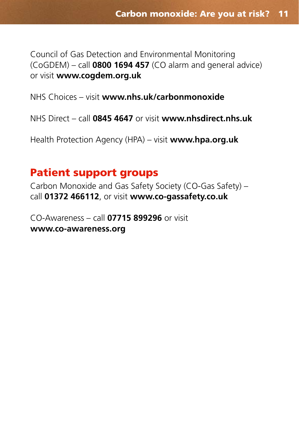Council of Gas Detection and Environmental Monitoring (CoGDEM) – call **0800 1694 457** (CO alarm and general advice) or visit **[www.cogdem.org.uk](http://www.cogdem.org.uk)** 

NHS Choices – visit **[www.nhs.uk/carbonmonoxide](http://www.nhs.uk/carbonmonoxide)** 

NHS Direct – call **0845 4647** or visit **[www.nhsdirect.nhs.uk](http://www.nhsdirect.nhs.uk)** 

Health Protection Agency (HPA) – visit **[www.hpa.org.uk](http://www.hpa.org.uk)** 

#### Patient support groups

Carbon Monoxide and Gas Safety Society (CO-Gas Safety) – call **01372 466112**, or visit **[www.co-gassafety.co.uk](http://www.co-gassafety.co.uk)** 

CO-Awareness – call **07715 899296** or visit **[www.co-awareness.org](http://www.co-awareness.org)**